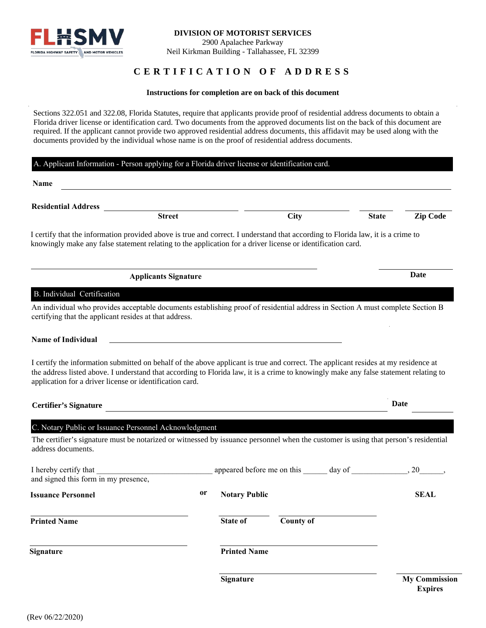

# **CERTIFICATION OF ADDRESS**

#### **Instructions for completion are on back of this document**

Sections 322.051 and 322.08, Florida Statutes, require that applicants provide proof of residential address documents to obtain a Florida driver license or identification card. Two documents from the approved documents list on the back of this document are required. If the applicant cannot provide two approved residential address documents, this affidavit may be used along with the documents provided by the individual whose name is on the proof of residential address documents.

### A. Applicant Information - Person applying for a Florida driver license or identification card.

| Name                                                                                                                                                                                                                                                                                                                                    |                                                                                                                       |                      |                  |              |                      |  |
|-----------------------------------------------------------------------------------------------------------------------------------------------------------------------------------------------------------------------------------------------------------------------------------------------------------------------------------------|-----------------------------------------------------------------------------------------------------------------------|----------------------|------------------|--------------|----------------------|--|
| <b>Residential Address</b>                                                                                                                                                                                                                                                                                                              |                                                                                                                       |                      |                  |              |                      |  |
|                                                                                                                                                                                                                                                                                                                                         | <b>Street</b>                                                                                                         |                      | <b>City</b>      | <b>State</b> | <b>Zip Code</b>      |  |
| I certify that the information provided above is true and correct. I understand that according to Florida law, it is a crime to<br>knowingly make any false statement relating to the application for a driver license or identification card.                                                                                          |                                                                                                                       |                      |                  |              |                      |  |
| <b>Applicants Signature</b>                                                                                                                                                                                                                                                                                                             |                                                                                                                       |                      |                  |              | Date                 |  |
| B. Individual Certification                                                                                                                                                                                                                                                                                                             |                                                                                                                       |                      |                  |              |                      |  |
| An individual who provides acceptable documents establishing proof of residential address in Section A must complete Section B<br>certifying that the applicant resides at that address.                                                                                                                                                |                                                                                                                       |                      |                  |              |                      |  |
| <b>Name of Individual</b>                                                                                                                                                                                                                                                                                                               |                                                                                                                       |                      |                  |              |                      |  |
| I certify the information submitted on behalf of the above applicant is true and correct. The applicant resides at my residence at<br>the address listed above. I understand that according to Florida law, it is a crime to knowingly make any false statement relating to<br>application for a driver license or identification card. |                                                                                                                       |                      |                  |              |                      |  |
| <b>Certifier's Signature</b>                                                                                                                                                                                                                                                                                                            |                                                                                                                       |                      |                  |              | Date                 |  |
| C. Notary Public or Issuance Personnel Acknowledgment                                                                                                                                                                                                                                                                                   |                                                                                                                       |                      |                  |              |                      |  |
| The certifier's signature must be notarized or witnessed by issuance personnel when the customer is using that person's residential<br>address documents.                                                                                                                                                                               |                                                                                                                       |                      |                  |              |                      |  |
| I hereby certify that<br>and signed this form in my presence,                                                                                                                                                                                                                                                                           | <u> 1989 - Johann Stoff, deutscher Stoff, der Stoff, der Stoff, der Stoff, der Stoff, der Stoff, der Stoff, der S</u> |                      |                  |              | 20                   |  |
| <b>Issuance Personnel</b>                                                                                                                                                                                                                                                                                                               | 0r                                                                                                                    | <b>Notary Public</b> |                  |              | <b>SEAL</b>          |  |
| <b>Printed Name</b>                                                                                                                                                                                                                                                                                                                     |                                                                                                                       | <b>State of</b>      | <b>County of</b> |              |                      |  |
| <b>Signature</b>                                                                                                                                                                                                                                                                                                                        |                                                                                                                       | <b>Printed Name</b>  |                  |              |                      |  |
|                                                                                                                                                                                                                                                                                                                                         |                                                                                                                       | <b>Signature</b>     |                  |              | <b>My Commission</b> |  |

**Expires**